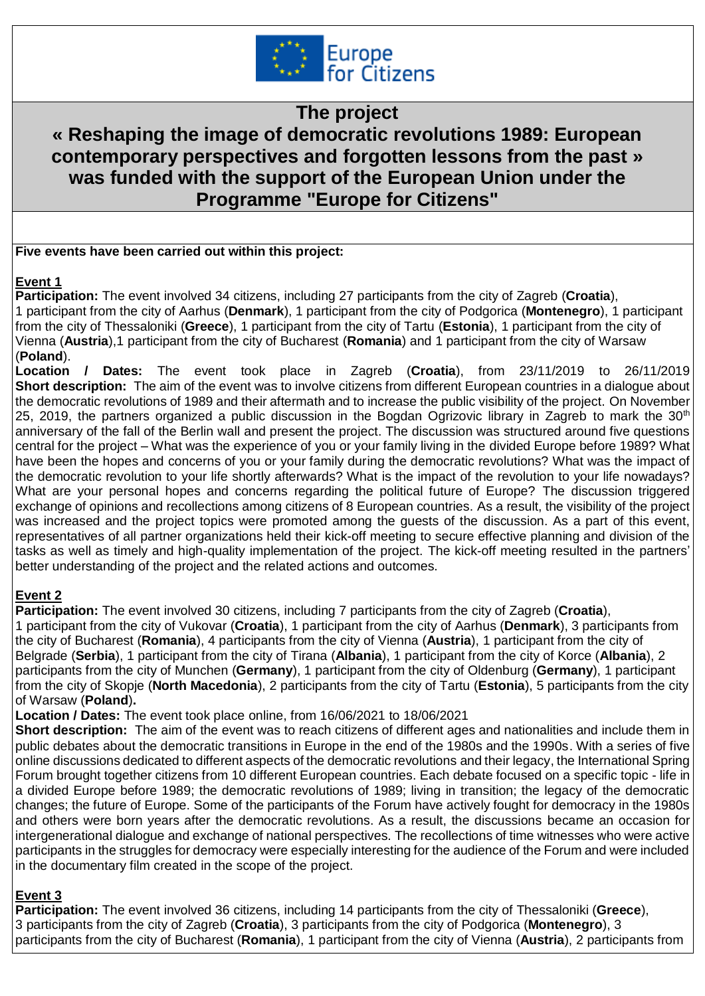

**The project** 

# **« Reshaping the image of democratic revolutions 1989: European contemporary perspectives and forgotten lessons from the past » was funded with the support of the European Union under the Programme "Europe for Citizens"**

### **Five events have been carried out within this project:**

## **Event 1**

**Participation:** The event involved 34 citizens, including 27 participants from the city of Zagreb (**Croatia**), 1 participant from the city of Aarhus (**Denmark**), 1 participant from the city of Podgorica (**Montenegro**), 1 participant from the city of Thessaloniki (**Greece**), 1 participant from the city of Tartu (**Estonia**), 1 participant from the city of Vienna (**Austria**),1 participant from the city of Bucharest (**Romania**) and 1 participant from the city of Warsaw (**Poland**).

**Location / Dates:** The event took place in Zagreb (**Croatia**), from 23/11/2019 to 26/11/2019 **Short description:** The aim of the event was to involve citizens from different European countries in a dialogue about the democratic revolutions of 1989 and their aftermath and to increase the public visibility of the project. On November 25, 2019, the partners organized a public discussion in the Bogdan Ogrizovic library in Zagreb to mark the 30<sup>th</sup> anniversary of the fall of the Berlin wall and present the project. The discussion was structured around five questions central for the project – What was the experience of you or your family living in the divided Europe before 1989? What have been the hopes and concerns of you or your family during the democratic revolutions? What was the impact of the democratic revolution to your life shortly afterwards? What is the impact of the revolution to your life nowadays? What are your personal hopes and concerns regarding the political future of Europe? The discussion triggered exchange of opinions and recollections among citizens of 8 European countries. As a result, the visibility of the project was increased and the project topics were promoted among the guests of the discussion. As a part of this event, representatives of all partner organizations held their kick-off meeting to secure effective planning and division of the tasks as well as timely and high-quality implementation of the project. The kick-off meeting resulted in the partners' better understanding of the project and the related actions and outcomes.

### **Event 2**

**Participation:** The event involved 30 citizens, including 7 participants from the city of Zagreb (**Croatia**), 1 participant from the city of Vukovar (**Croatia**), 1 participant from the city of Aarhus (**Denmark**), 3 participants from the city of Bucharest (**Romania**), 4 participants from the city of Vienna (**Austria**), 1 participant from the city of Belgrade (**Serbia**), 1 participant from the city of Tirana (**Albania**), 1 participant from the city of Korce (**Albania**), 2 participants from the city of Munchen (**Germany**), 1 participant from the city of Oldenburg (**Germany**), 1 participant from the city of Skopje (**North Macedonia**), 2 participants from the city of Tartu (**Estonia**), 5 participants from the city of Warsaw (**Poland**)**.**

**Location / Dates:** The event took place online, from 16/06/2021 to 18/06/2021

**Short description:** The aim of the event was to reach citizens of different ages and nationalities and include them in public debates about the democratic transitions in Europe in the end of the 1980s and the 1990s. With a series of five online discussions dedicated to different aspects of the democratic revolutions and their legacy, the International Spring Forum brought together citizens from 10 different European countries. Each debate focused on a specific topic - life in a divided Europe before 1989; the democratic revolutions of 1989; living in transition; the legacy of the democratic changes; the future of Europe. Some of the participants of the Forum have actively fought for democracy in the 1980s and others were born years after the democratic revolutions. As a result, the discussions became an occasion for intergenerational dialogue and exchange of national perspectives. The recollections of time witnesses who were active participants in the struggles for democracy were especially interesting for the audience of the Forum and were included in the documentary film created in the scope of the project.

# **Event 3**

**Participation:** The event involved 36 citizens, including 14 participants from the city of Thessaloniki (**Greece**), 3 participants from the city of Zagreb (**Croatia**), 3 participants from the city of Podgorica (**Montenegro**), 3 participants from the city of Bucharest (**Romania**), 1 participant from the city of Vienna (**Austria**), 2 participants from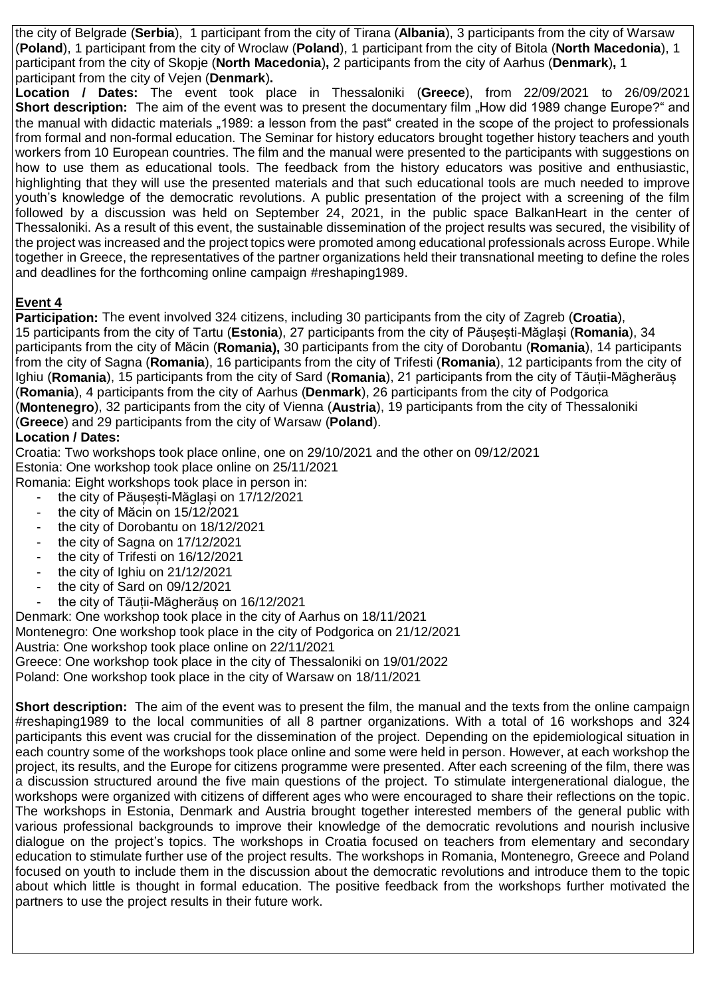the city of Belgrade (**Serbia**), 1 participant from the city of Tirana (**Albania**), 3 participants from the city of Warsaw (**Poland**), 1 participant from the city of Wroclaw (**Poland**), 1 participant from the city of Bitola (**North Macedonia**), 1 participant from the city of Skopje (**North Macedonia**)**,** 2 participants from the city of Aarhus (**Denmark**)**,** 1 participant from the city of Vejen (**Denmark**)**.**

**Location / Dates:** The event took place in Thessaloniki (**Greece**), from 22/09/2021 to 26/09/2021 **Short description:** The aim of the event was to present the documentary film "How did 1989 change Europe?" and the manual with didactic materials "1989: a lesson from the past" created in the scope of the project to professionals from formal and non-formal education. The Seminar for history educators brought together history teachers and youth workers from 10 European countries. The film and the manual were presented to the participants with suggestions on how to use them as educational tools. The feedback from the history educators was positive and enthusiastic, highlighting that they will use the presented materials and that such educational tools are much needed to improve youth's knowledge of the democratic revolutions. A public presentation of the project with a screening of the film followed by a discussion was held on September 24, 2021, in the public space BalkanHeart in the center of Thessaloniki. As a result of this event, the sustainable dissemination of the project results was secured, the visibility of the project was increased and the project topics were promoted among educational professionals across Europe. While together in Greece, the representatives of the partner organizations held their transnational meeting to define the roles and deadlines for the forthcoming online campaign #reshaping1989.

# **Event 4**

**Participation:** The event involved 324 citizens, including 30 participants from the city of Zagreb (**Croatia**), 15 participants from the city of Tartu (**Estonia**), 27 participants from the city of Păușești-Măglași (**Romania**), 34 participants from the city of Măcin (**Romania),** 30 participants from the city of Dorobantu (**Romania**), 14 participants from the city of Sagna (**Romania**), 16 participants from the city of Trifesti (**Romania**), 12 participants from the city of Ighiu (**Romania**), 15 participants from the city of Sard (**Romania**), 21 participants from the city of Tăuții-Măgherăuș (**Romania**), 4 participants from the city of Aarhus (**Denmark**), 26 participants from the city of Podgorica (**Montenegro**), 32 participants from the city of Vienna (**Austria**), 19 participants from the city of Thessaloniki (**Greece**) and 29 participants from the city of Warsaw (**Poland**).

## **Location / Dates:**

Croatia: Two workshops took place online, one on 29/10/2021 and the other on 09/12/2021 Estonia: One workshop took place online on 25/11/2021 Romania: Eight workshops took place in person in:

- the city of Păusesti-Măglasi on 17/12/2021 - the city of Măcin on 15/12/2021
- the city of Dorobantu on 18/12/2021
- the city of Sagna on 17/12/2021
- the city of Trifesti on 16/12/2021
- the city of Ighiu on 21/12/2021
- the city of Sard on 09/12/2021
- the city of Tăuții-Măgherăus on 16/12/2021

Denmark: One workshop took place in the city of Aarhus on 18/11/2021 Montenegro: One workshop took place in the city of Podgorica on 21/12/2021 Austria: One workshop took place online on 22/11/2021

Greece: One workshop took place in the city of Thessaloniki on 19/01/2022 Poland: One workshop took place in the city of Warsaw on 18/11/2021

**Short description:** The aim of the event was to present the film, the manual and the texts from the online campaign #reshaping1989 to the local communities of all 8 partner organizations. With a total of 16 workshops and 324 participants this event was crucial for the dissemination of the project. Depending on the epidemiological situation in each country some of the workshops took place online and some were held in person. However, at each workshop the project, its results, and the Europe for citizens programme were presented. After each screening of the film, there was a discussion structured around the five main questions of the project. To stimulate intergenerational dialogue, the workshops were organized with citizens of different ages who were encouraged to share their reflections on the topic. The workshops in Estonia, Denmark and Austria brought together interested members of the general public with various professional backgrounds to improve their knowledge of the democratic revolutions and nourish inclusive dialogue on the project's topics. The workshops in Croatia focused on teachers from elementary and secondary education to stimulate further use of the project results. The workshops in Romania, Montenegro, Greece and Poland focused on youth to include them in the discussion about the democratic revolutions and introduce them to the topic about which little is thought in formal education. The positive feedback from the workshops further motivated the partners to use the project results in their future work.